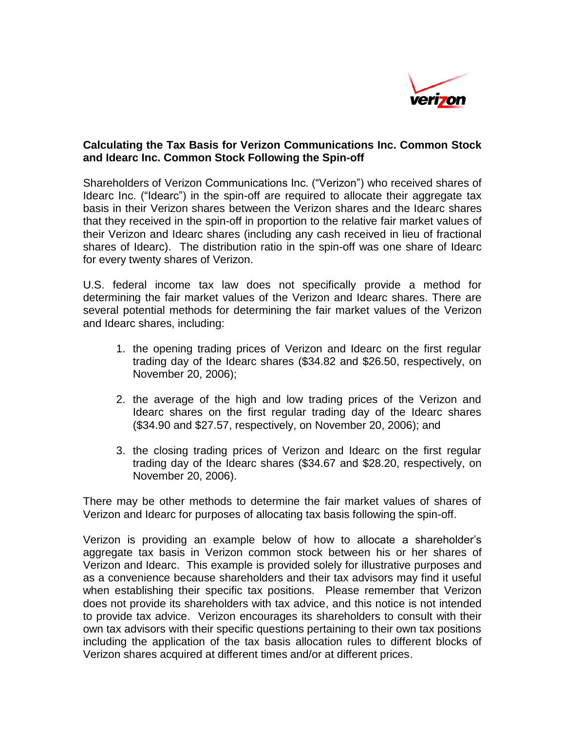

## **Calculating the Tax Basis for Verizon Communications Inc. Common Stock and Idearc Inc. Common Stock Following the Spin-off**

Shareholders of Verizon Communications Inc. ("Verizon") who received shares of Idearc Inc. ("Idearc") in the spin-off are required to allocate their aggregate tax basis in their Verizon shares between the Verizon shares and the Idearc shares that they received in the spin-off in proportion to the relative fair market values of their Verizon and Idearc shares (including any cash received in lieu of fractional shares of Idearc). The distribution ratio in the spin-off was one share of Idearc for every twenty shares of Verizon.

U.S. federal income tax law does not specifically provide a method for determining the fair market values of the Verizon and Idearc shares. There are several potential methods for determining the fair market values of the Verizon and Idearc shares, including:

- 1. the opening trading prices of Verizon and Idearc on the first regular trading day of the Idearc shares (\$34.82 and \$26.50, respectively, on November 20, 2006);
- 2. the average of the high and low trading prices of the Verizon and Idearc shares on the first regular trading day of the Idearc shares (\$34.90 and \$27.57, respectively, on November 20, 2006); and
- 3. the closing trading prices of Verizon and Idearc on the first regular trading day of the Idearc shares (\$34.67 and \$28.20, respectively, on November 20, 2006).

There may be other methods to determine the fair market values of shares of Verizon and Idearc for purposes of allocating tax basis following the spin-off.

Verizon is providing an example below of how to allocate a shareholder's aggregate tax basis in Verizon common stock between his or her shares of Verizon and Idearc. This example is provided solely for illustrative purposes and as a convenience because shareholders and their tax advisors may find it useful when establishing their specific tax positions. Please remember that Verizon does not provide its shareholders with tax advice, and this notice is not intended to provide tax advice. Verizon encourages its shareholders to consult with their own tax advisors with their specific questions pertaining to their own tax positions including the application of the tax basis allocation rules to different blocks of Verizon shares acquired at different times and/or at different prices.